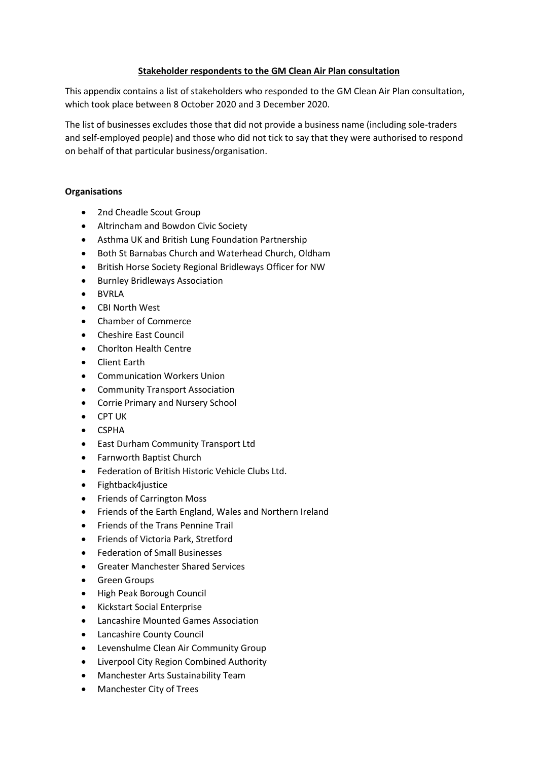# **Stakeholder respondents to the GM Clean Air Plan consultation**

This appendix contains a list of stakeholders who responded to the GM Clean Air Plan consultation, which took place between 8 October 2020 and 3 December 2020.

The list of businesses excludes those that did not provide a business name (including sole-traders and self-employed people) and those who did not tick to say that they were authorised to respond on behalf of that particular business/organisation.

# **Organisations**

- 2nd Cheadle Scout Group
- Altrincham and Bowdon Civic Society
- Asthma UK and British Lung Foundation Partnership
- Both St Barnabas Church and Waterhead Church, Oldham
- British Horse Society Regional Bridleways Officer for NW
- Burnley Bridleways Association
- BVRLA
- CBI North West
- Chamber of Commerce
- Cheshire East Council
- Chorlton Health Centre
- Client Earth
- Communication Workers Union
- Community Transport Association
- Corrie Primary and Nursery School
- CPT UK
- CSPHA
- East Durham Community Transport Ltd
- Farnworth Baptist Church
- Federation of British Historic Vehicle Clubs Ltd.
- Fightback4justice
- Friends of Carrington Moss
- Friends of the Earth England, Wales and Northern Ireland
- Friends of the Trans Pennine Trail
- Friends of Victoria Park, Stretford
- Federation of Small Businesses
- Greater Manchester Shared Services
- Green Groups
- High Peak Borough Council
- Kickstart Social Enterprise
- Lancashire Mounted Games Association
- Lancashire County Council
- Levenshulme Clean Air Community Group
- Liverpool City Region Combined Authority
- Manchester Arts Sustainability Team
- Manchester City of Trees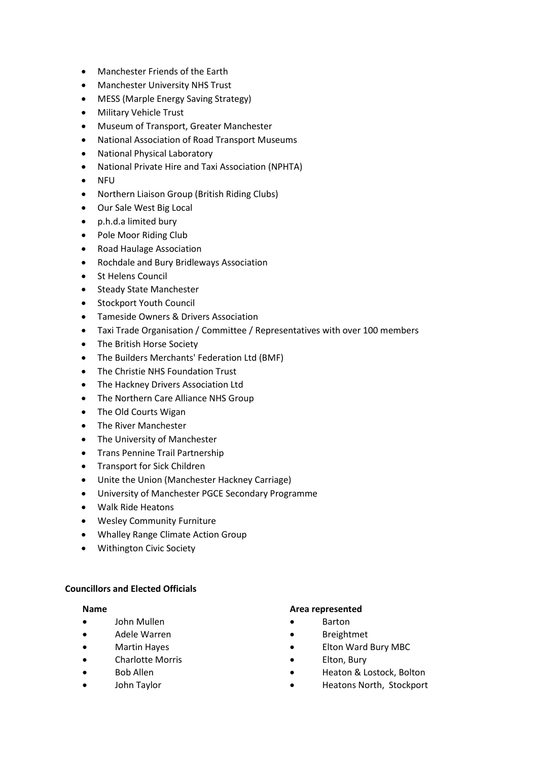- Manchester Friends of the Earth
- Manchester University NHS Trust
- MESS (Marple Energy Saving Strategy)
- Military Vehicle Trust
- Museum of Transport, Greater Manchester
- National Association of Road Transport Museums
- National Physical Laboratory
- National Private Hire and Taxi Association (NPHTA)
- NFU
- Northern Liaison Group (British Riding Clubs)
- Our Sale West Big Local
- p.h.d.a limited bury
- Pole Moor Riding Club
- Road Haulage Association
- Rochdale and Bury Bridleways Association
- St Helens Council
- Steady State Manchester
- Stockport Youth Council
- Tameside Owners & Drivers Association
- Taxi Trade Organisation / Committee / Representatives with over 100 members
- The British Horse Society
- The Builders Merchants' Federation Ltd (BMF)
- The Christie NHS Foundation Trust
- The Hackney Drivers Association Ltd
- The Northern Care Alliance NHS Group
- The Old Courts Wigan
- The River Manchester
- The University of Manchester
- Trans Pennine Trail Partnership
- Transport for Sick Children
- Unite the Union (Manchester Hackney Carriage)
- University of Manchester PGCE Secondary Programme
- Walk Ride Heatons
- Wesley Community Furniture
- Whalley Range Climate Action Group
- Withington Civic Society

# **Councillors and Elected Officials**

- John Mullen Barton
- Adele Warren **•** Breightmet
- 
- 
- 
- 

### **Name Area represented**

- 
- 
- Martin Hayes **•** Elton Ward Bury MBC
	- Charlotte Morris Elton, Bury
	- **Bob Allen Heaton & Lostock, Bolton**
	- John Taylor **Figure 10 Contract 10 Contract 10 Contract 10 Contract 10 Contract 10 Contract 10 Contract 10 Contract 10 Contract 10 Contract 10 Contract 10 Contract 10 Contract 10 Contract 10 Contract 10 Contract 10 Contrac**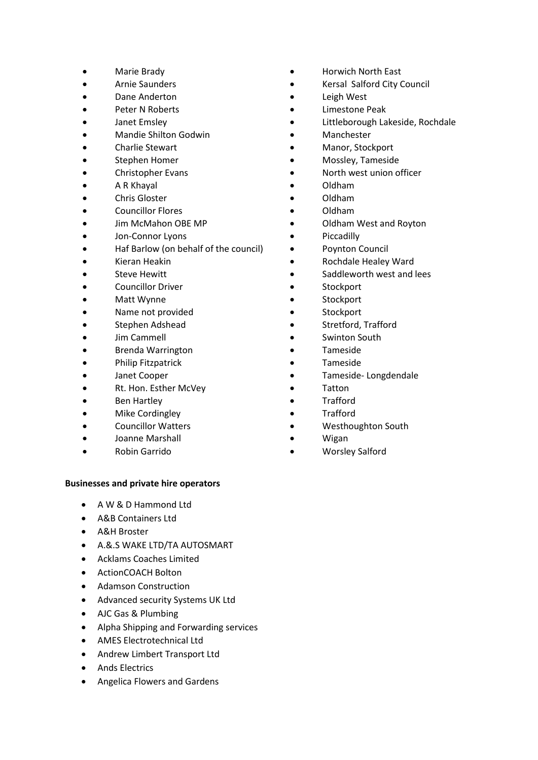- 
- 
- 
- 
- 
- Mandie Shilton Godwin Manchester
- 
- 
- 
- 
- 
- Councillor Flores Oldham
- 
- **Jon-Connor Lyons •** Piccadilly
- Haf Barlow (on behalf of the council) Poynton Council
- 
- 
- 
- 
- Name not provided **•** Stockport
- 
- 
- Brenda Warrington Tameside
- **Philip Fitzpatrick Tameside**
- 
- Rt. Hon. Esther McVey **•** Tatton
- Ben Hartley Trafford
- Mike Cordingley **•** Trafford
- 
- Joanne Marshall **•** Wigan
- 

### **Businesses and private hire operators**

- A W & D Hammond Ltd
- A&B Containers Ltd
- A&H Broster
- A.&.S WAKE LTD/TA AUTOSMART
- Acklams Coaches Limited
- ActionCOACH Bolton
- Adamson Construction
- Advanced security Systems UK Ltd
- AJC Gas & Plumbing
- Alpha Shipping and Forwarding services
- AMES Electrotechnical Ltd
- Andrew Limbert Transport Ltd
- Ands Electrics
- Angelica Flowers and Gardens
- Marie Brady  **Horwich North East**
- Arnie Saunders **•** Kersal Salford City Council
	- Dane Anderton **•** Leigh West
	- Peter N Roberts  **Containers Containers Containers Containers Containers Containers Containers Containers Containers Containers Containers Containers Containers Containe**
	- Janet Emsley **Figure 10 Contract Contract Contract Contract Contract Contract Contract Contract Contract Contract Contract Contract Contract Contract Contract Contract Contract Contract Contract Contract Contract Contract** 
		-
	- Charlie Stewart  **Charlie Stewart Manor, Stockport**
	- Stephen Homer  **The Mossley, Tameside**
	- Christopher Evans **•** North west union officer
	- A R Khayal Oldham
	- Chris Gloster Oldham
		-
	- Jim McMahon OBE MP **•** Oldham West and Royton
		-
		-
	- Kieran Heakin Rochdale Healey Ward
	- **Steve Hewitt •** Saddleworth west and lees
	- **Councillor Driver Stockport**
	- Matt Wynne **•** Stockport
		-
	- Stephen Adshead Stretford, Trafford
	- Jim Cammell Swinton South
		-
		-
	- Janet Cooper **band is a controlled to the Cooper Tameside-Longdendale** 
		-
		-
		-
- Councillor Watters Westhoughton South
	-
	- Robin Garrido Worsley Salford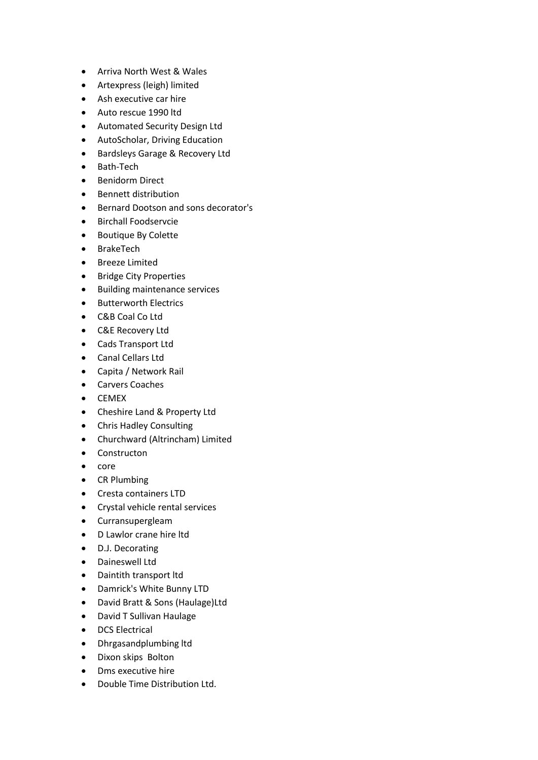- Arriva North West & Wales
- Artexpress (leigh) limited
- Ash executive car hire
- Auto rescue 1990 ltd
- Automated Security Design Ltd
- AutoScholar, Driving Education
- Bardsleys Garage & Recovery Ltd
- Bath-Tech
- Benidorm Direct
- Bennett distribution
- Bernard Dootson and sons decorator's
- Birchall Foodservcie
- Boutique By Colette
- BrakeTech
- Breeze Limited
- Bridge City Properties
- Building maintenance services
- Butterworth Electrics
- C&B Coal Co Ltd
- C&E Recovery Ltd
- Cads Transport Ltd
- Canal Cellars Ltd
- Capita / Network Rail
- Carvers Coaches
- CEMEX
- Cheshire Land & Property Ltd
- Chris Hadley Consulting
- Churchward (Altrincham) Limited
- Constructon
- core
- CR Plumbing
- Cresta containers LTD
- Crystal vehicle rental services
- Curransupergleam
- D Lawlor crane hire ltd
- D.J. Decorating
- Daineswell Ltd
- Daintith transport ltd
- Damrick's White Bunny LTD
- David Bratt & Sons (Haulage)Ltd
- David T Sullivan Haulage
- DCS Electrical
- Dhrgasandplumbing ltd
- Dixon skips Bolton
- Dms executive hire
- Double Time Distribution Ltd.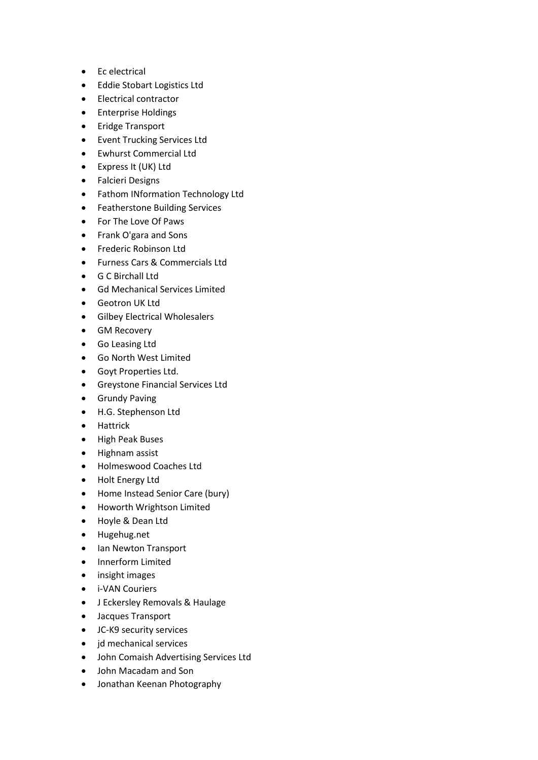- Ec electrical
- Eddie Stobart Logistics Ltd
- Electrical contractor
- Enterprise Holdings
- Eridge Transport
- Event Trucking Services Ltd
- Ewhurst Commercial Ltd
- Express It (UK) Ltd
- Falcieri Designs
- Fathom INformation Technology Ltd
- Featherstone Building Services
- For The Love Of Paws
- Frank O'gara and Sons
- Frederic Robinson Ltd
- Furness Cars & Commercials Ltd
- G C Birchall Ltd
- Gd Mechanical Services Limited
- Geotron UK Ltd
- Gilbey Electrical Wholesalers
- GM Recovery
- Go Leasing Ltd
- Go North West Limited
- Goyt Properties Ltd.
- Greystone Financial Services Ltd
- Grundy Paving
- H.G. Stephenson Ltd
- Hattrick
- High Peak Buses
- Highnam assist
- Holmeswood Coaches Ltd
- Holt Energy Ltd
- Home Instead Senior Care (bury)
- Howorth Wrightson Limited
- Hoyle & Dean Ltd
- Hugehug.net
- Ian Newton Transport
- Innerform Limited
- insight images
- i-VAN Couriers
- J Eckersley Removals & Haulage
- Jacques Transport
- JC-K9 security services
- jd mechanical services
- John Comaish Advertising Services Ltd
- John Macadam and Son
- Jonathan Keenan Photography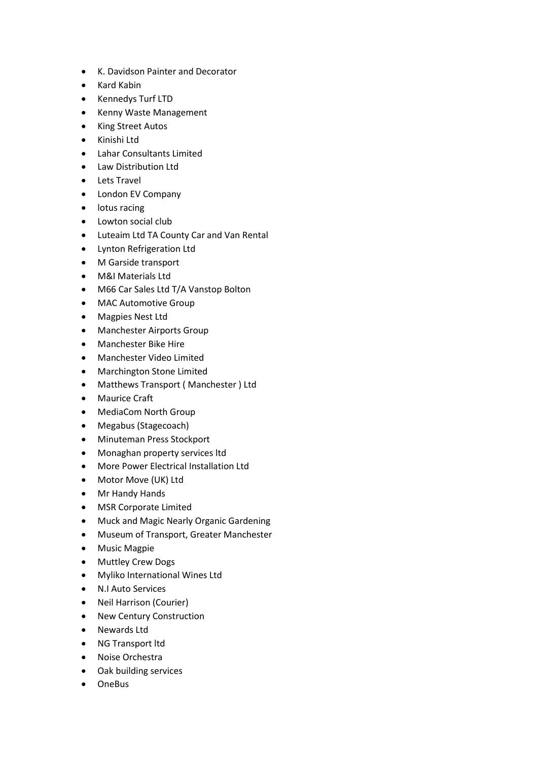- K. Davidson Painter and Decorator
- Kard Kabin
- Kennedys Turf LTD
- Kenny Waste Management
- King Street Autos
- Kinishi Ltd
- Lahar Consultants Limited
- Law Distribution Ltd
- Lets Travel
- London EV Company
- lotus racing
- Lowton social club
- Luteaim Ltd TA County Car and Van Rental
- Lynton Refrigeration Ltd
- M Garside transport
- M&I Materials Ltd
- M66 Car Sales Ltd T/A Vanstop Bolton
- MAC Automotive Group
- Magpies Nest Ltd
- Manchester Airports Group
- Manchester Bike Hire
- Manchester Video Limited
- Marchington Stone Limited
- Matthews Transport ( Manchester ) Ltd
- Maurice Craft
- MediaCom North Group
- Megabus (Stagecoach)
- Minuteman Press Stockport
- Monaghan property services ltd
- More Power Electrical Installation Ltd
- Motor Move (UK) Ltd
- Mr Handy Hands
- MSR Corporate Limited
- Muck and Magic Nearly Organic Gardening
- Museum of Transport, Greater Manchester
- Music Magpie
- Muttley Crew Dogs
- Myliko International Wines Ltd
- N.I Auto Services
- Neil Harrison (Courier)
- New Century Construction
- Newards Ltd
- NG Transport ltd
- Noise Orchestra
- Oak building services
- OneBus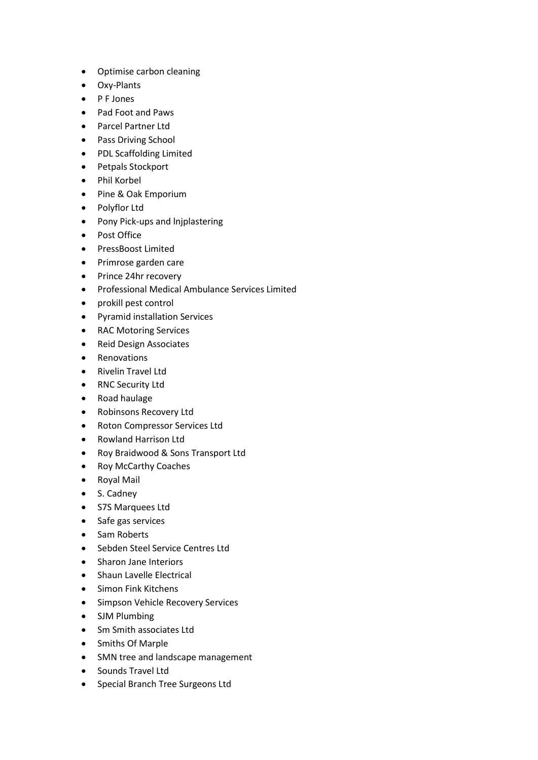- Optimise carbon cleaning
- Oxy-Plants
- P F Jones
- Pad Foot and Paws
- Parcel Partner Ltd
- Pass Driving School
- PDL Scaffolding Limited
- Petpals Stockport
- Phil Korbel
- Pine & Oak Emporium
- Polyflor Ltd
- Pony Pick-ups and lnjplastering
- Post Office
- PressBoost Limited
- Primrose garden care
- Prince 24hr recovery
- Professional Medical Ambulance Services Limited
- prokill pest control
- Pyramid installation Services
- RAC Motoring Services
- Reid Design Associates
- Renovations
- Rivelin Travel Ltd
- RNC Security Ltd
- Road haulage
- Robinsons Recovery Ltd
- Roton Compressor Services Ltd
- Rowland Harrison Ltd
- Roy Braidwood & Sons Transport Ltd
- Roy McCarthy Coaches
- Royal Mail
- S. Cadney
- S7S Marquees Ltd
- Safe gas services
- Sam Roberts
- Sebden Steel Service Centres Ltd
- Sharon Jane Interiors
- Shaun Lavelle Electrical
- Simon Fink Kitchens
- Simpson Vehicle Recovery Services
- SJM Plumbing
- Sm Smith associates Ltd
- Smiths Of Marple
- SMN tree and landscape management
- Sounds Travel Ltd
- Special Branch Tree Surgeons Ltd